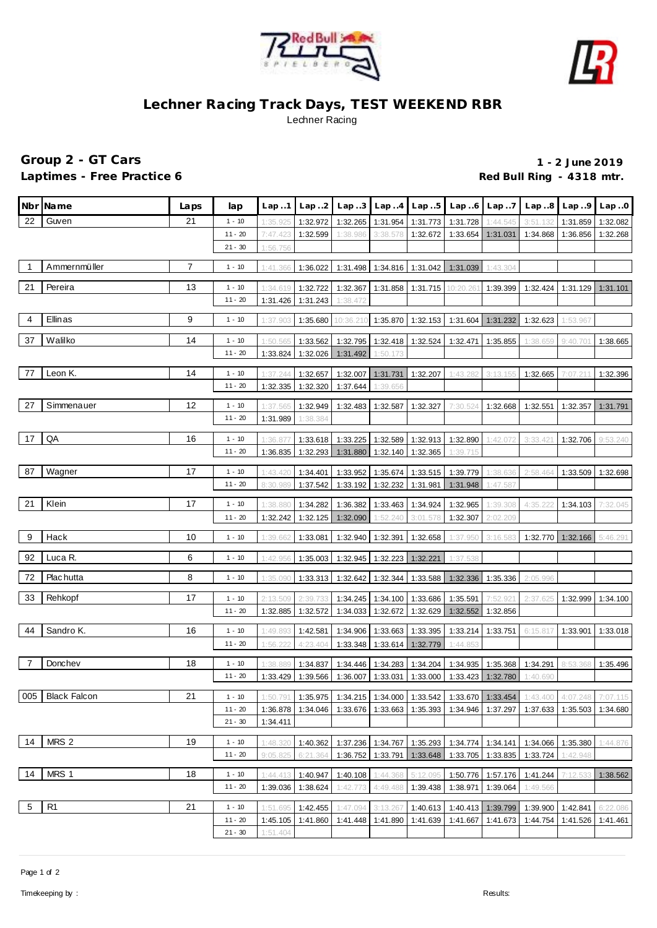



## **Lechner Racing Track Days, TEST WEEKEND RBR** Lechner Racing

## **Group 2 - GT Cars 1 - 2 June 2019** Laptimes - Free Practice 6 *Red Bull Ring - 4318 mtr.* **Red Bull Ring - 4318 mtr.**

|                | Nbr Name           | Laps | lap                   | Lap.1                | Lap.2                | Lap.3                               |                                        | $Lap. .4$ $Lap. .5$  | Lap.6     | Lap7                                   |                      | $Lap.8$ $Lap.9$      | Lap.0    |
|----------------|--------------------|------|-----------------------|----------------------|----------------------|-------------------------------------|----------------------------------------|----------------------|-----------|----------------------------------------|----------------------|----------------------|----------|
| 22             | Guven              | 21   | $1 - 10$              | 1:35.925             | 1:32.972             | 1:32.265                            | 1:31.954                               | 1:31.773             | 1:31.728  | 1:44.545                               | 3:51.132             | 1:31.859             | 1:32.082 |
|                |                    |      | $11 - 20$             | 7:47.423             | 1:32.599             | 1:38.986                            | 3:38.578                               | 1:32.672             | 1:33.654  | 1:31.031                               | 1:34.868             | 1:36.856             | 1:32.268 |
|                |                    |      | $21 - 30$             | 1:56.756             |                      |                                     |                                        |                      |           |                                        |                      |                      |          |
| $\overline{1}$ | Ammernmüller       | 7    | $1 - 10$              | 1:41.366             | 1:36.022             |                                     | 1:31.498   1:34.816   1:31.042         |                      | 1:31.039  | 1:43.304                               |                      |                      |          |
| 21             | Pereira            | 13   | $1 - 10$              |                      |                      | 1:32.367                            |                                        |                      |           |                                        |                      |                      |          |
|                |                    |      | $11 - 20$             | 1:34.619<br>1:31.426 | 1:32.722<br>1:31.243 | 1:38.472                            | 1:31.858                               | 1:31.715             | 10:20.261 | 1:39.399                               | 1:32.424             | 1:31.129 1:31.101    |          |
|                |                    |      |                       |                      |                      |                                     |                                        |                      |           |                                        |                      |                      |          |
| 4              | Ellinas            | 9    | $1 - 10$              | 1:37.903             | 1:35.680             | 10:36.210                           | 1:35.870                               | 1:32.153             | 1:31.604  | 1:31.232                               | 1:32.623             | 1:53.967             |          |
| 37             | Walilko            | 14   | $1 - 10$              | 1:50.565             | 1:33.562             | 1:32.795                            | 1:32.418                               | 1:32.524             | 1:32.471  | 1:35.855                               | 1:38.659             | 9:40.701             | 1:38.665 |
|                |                    |      | $11 - 20$             | 1:33.824             | 1:32.026             | 1:31.492                            | 1:50.173                               |                      |           |                                        |                      |                      |          |
| 77             | Leon K.            | 14   | $1 - 10$              | 1:37.244             | 1:32.657             | 1:32.007                            | 1:31.731                               | 1:32.207             | 1:43.282  | 3:13.155                               | 1:32.665             | 7:07.21              | 1:32.396 |
|                |                    |      | $11 - 20$             | 1:32.335             | 1:32.320             | 1:37.644                            | 1:39.656                               |                      |           |                                        |                      |                      |          |
| 27             | Simmenauer         | 12   | $1 - 10$              | 1:37.565             | 1:32.949             | 1:32.483                            | 1:32.587                               | 1:32.327             | 7:30.524  | 1:32.668                               | 1:32.551             | 1:32.357             | 1:31.791 |
|                |                    |      | $11 - 20$             | 1:31.989             | 1:38.384             |                                     |                                        |                      |           |                                        |                      |                      |          |
|                |                    |      |                       |                      |                      |                                     |                                        |                      |           |                                        |                      |                      |          |
| 17             | QA                 | 16   | $1 - 10$<br>$11 - 20$ | 1:36.87              | 1:33.618             |                                     | 1:33.225   1:32.589   1:32.913         |                      | 1:32.890  | 1:42.072                               | 3:33.42              | 1:32.706             | 9:53.240 |
|                |                    |      |                       | 1:36.835             | 1:32.293             | 1:31.880                            | 1:32.140                               | 1:32.365             | 1:39.715  |                                        |                      |                      |          |
| 87             | Wagner             | 17   | $1 - 10$              | 1:43.420             | 1:34.401             | 1:33.952                            | 1:35.674                               | 1:33.515             | 1:39.779  | 1:38.636                               | 2:58.464             | 1:33.509             | 1:32.698 |
|                |                    |      | $11 - 20$             | 8:30.989             | 1:37.542             | 1:33.192                            | 1:32.232                               | 1:31.981             | 1:31.948  | 1:47.587                               |                      |                      |          |
| 21             | Klein              | 17   | $1 - 10$              | 1:38.880             | 1:34.282             | 1:36.382                            | 1:33.463                               | 1:34.924             | 1:32.965  | 1:39.308                               | 4:35.222             | 1:34.103             | 7:32.045 |
|                |                    |      | $11 - 20$             | 1:32.242             | 1:32.125             | 1:32.090                            | 1:52.240                               | 3:01.578             | 1:32.307  | 2:02.209                               |                      |                      |          |
| 9              | Hack               | 10   | $1 - 10$              | 1:39.662             | 1:33.081             | 1:32.940                            | 1:32.391                               | 1:32.658             | 1:37.950  | 3:16.583                               |                      | 1:32.770   1:32.166  | 5:46.291 |
| 92             | Luca R.            | 6    | $1 - 10$              | 1:42.956             | 1:35.003             | 1:32.945                            | 1:32.223 1:32.221                      |                      | 1:37.538  |                                        |                      |                      |          |
|                |                    |      |                       |                      |                      |                                     |                                        |                      |           |                                        |                      |                      |          |
| 72             | Plac hutta         | 8    | $1 - 10$              | 1:35.090             | 1:33.313             | 1:32.642                            | 1:32.344                               | 1:33.588             | 1:32.336  | 1:35.336                               | 2:05.996             |                      |          |
| 33             | Rehkopf            | 17   | $1 - 10$              | 2:13.509             | 2:39.733             | 1:34.245                            | 1:34.100 1:33.686                      |                      | 1:35.591  | 7:52.921                               | 2:37.625             | 1:32.999             | 1:34.100 |
|                |                    |      | $11 - 20$             | 1:32.885             | 1:32.572             | 1:34.033                            | 1:32.672                               | 1:32.629             | 1:32.552  | 1:32.856                               |                      |                      |          |
| 44             | Sandro K.          | 16   | $1 - 10$              | 1:49.893             | 1:42.581             | 1:34.906                            | 1:33.663                               | 1:33.395             | 1:33.214  | 1:33.751                               | 6:15.817             | 1:33.901             | 1:33.018 |
|                |                    |      | $11 - 20$             | 1:56.222             | 4:23.404             | 1:33.348                            | 1:33.614                               | 1:32.779             | 1:44.853  |                                        |                      |                      |          |
| 7              | Donchev            | 18   | $1 - 10$              | 1:38.889             | 1:34.837             | 1:34.446                            | 1:34.283                               | 1:34.204             | 1:34.935  | 1:35.368                               | 1:34.291             | 8:53.368             | 1:35.496 |
|                |                    |      | $11 - 20$             | 1:33.429             | 1:39.566             | 1:36.007                            | 1:33.031                               | 1:33.000             | 1:33.423  | 1:32.780                               | 1:40.690             |                      |          |
|                | 005   Black Falcon | 21   | $1 - 10$              | 1:50.791             |                      | 1:35.975 1:34.215 1:34.000 1:33.542 |                                        |                      |           | 1:33.670 1:33.454                      | 1:43.400             | 4:07.248             | 7:07.115 |
|                |                    |      | $11 - 20$             | 1:36.878             | 1:34.046             |                                     | 1:33.676 1:33.663 1:35.393             |                      | 1:34.946  | 1:37.297                               | 1:37.633             | 1:35.503             | 1:34.680 |
|                |                    |      | $21 - 30$             | 1:34.411             |                      |                                     |                                        |                      |           |                                        |                      |                      |          |
| 14             | MRS 2              | 19   |                       |                      |                      |                                     |                                        |                      |           |                                        |                      |                      |          |
|                |                    |      | $1 - 10$<br>$11 - 20$ | 1:48.320<br>9:05.825 | 1:40.362<br>6:21.364 |                                     | 1:37.236 1:34.767<br>1:36.752 1:33.791 | 1:35.293<br>1:33.648 |           | 1:34.774 1:34.141<br>1:33.705 1:33.835 | 1:34.066<br>1:33.724 | 1:35.380<br>1:42.948 | 1:44.876 |
|                |                    |      |                       |                      |                      |                                     |                                        |                      |           |                                        |                      |                      |          |
| 14             | MRS 1              | 18   | $1 - 10$              | 1:44.413             | 1:40.947             | 1:40.108                            | 1:44.368                               | 5:12.095             |           | 1:50.776 1:57.176                      | 1:41.244             | 7:12.533             | 1:38.562 |
|                |                    |      | $11 - 20$             | 1:39.036             | 1:38.624             | 1:42.773                            | 4:49.488                               | 1:39.438             | 1:38.971  | 1:39.064                               | 1:49.566             |                      |          |
| 5              | R1                 | 21   | $1 - 10$              | 1:51.695             | 1:42.455             | 1:47.094                            | 3:13.267                               | 1:40.613             |           | 1:40.413 1:39.799                      | 1:39.900             | 1:42.841             | 6:22.086 |
|                |                    |      | $11 - 20$             | 1:45.105             | 1:41.860             |                                     | 1:41.448 1:41.890 1:41.639             |                      |           | 1:41.667 1:41.673                      | 1:44.754             | 1:41.526             | 1:41.461 |
|                |                    |      | $21 - 30$             | 1:51.404             |                      |                                     |                                        |                      |           |                                        |                      |                      |          |